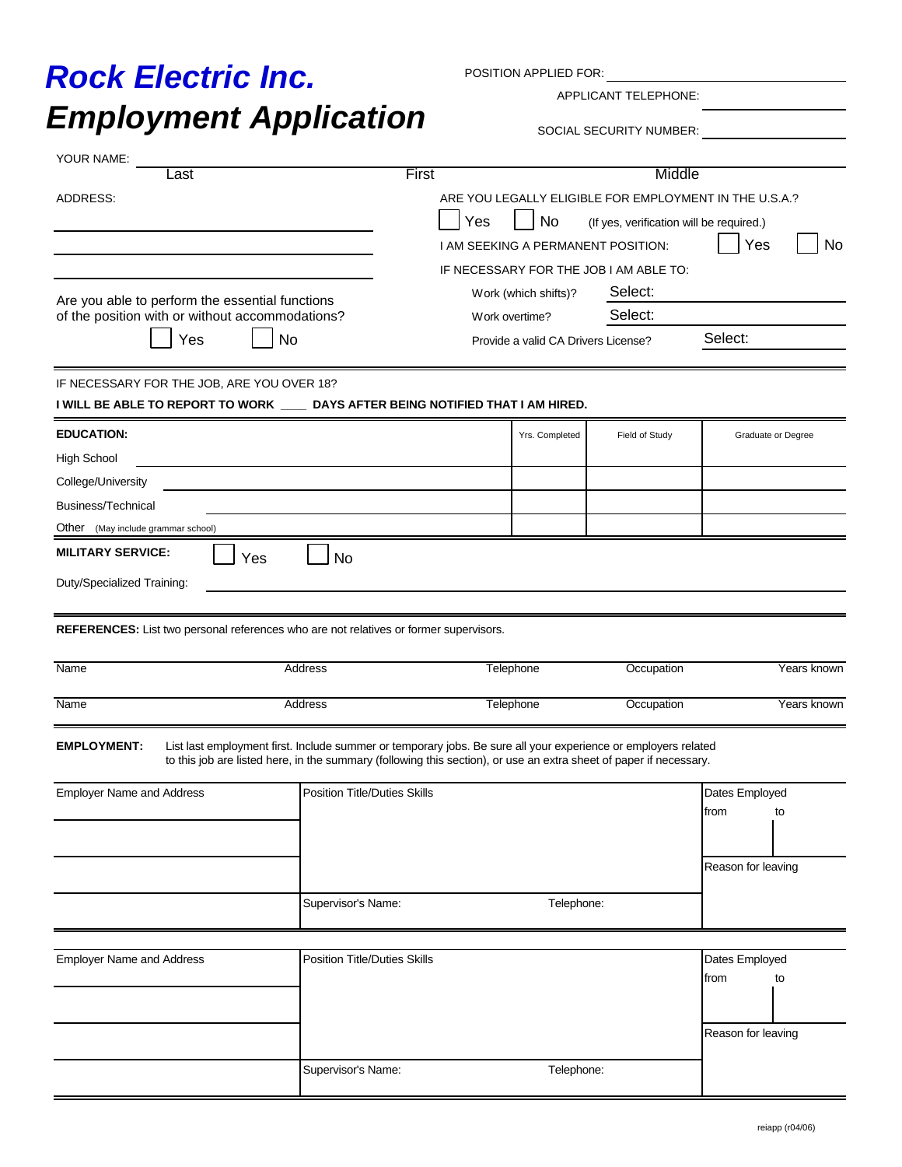## *Employment Application Rock Electric Inc.*

POSITION APPLIED FOR:

APPLICANT TELEPHONE:

SOCIAL SECURITY NUMBER:

| YOUR NAME:<br>.ast                                                                                                                                                                            |                                                           | <b>First</b>                                                                                                                                                                                                                         |                                                                  | Middle                                                                                                                                                  |                                              |                    |
|-----------------------------------------------------------------------------------------------------------------------------------------------------------------------------------------------|-----------------------------------------------------------|--------------------------------------------------------------------------------------------------------------------------------------------------------------------------------------------------------------------------------------|------------------------------------------------------------------|---------------------------------------------------------------------------------------------------------------------------------------------------------|----------------------------------------------|--------------------|
| ADDRESS:                                                                                                                                                                                      |                                                           | Yes<br>I AM SEEKING A PERMANENT POSITION:<br>Work (which shifts)?                                                                                                                                                                    | No                                                               | ARE YOU LEGALLY ELIGIBLE FOR EMPLOYMENT IN THE U.S.A.?<br>(If yes, verification will be required.)<br>IF NECESSARY FOR THE JOB I AM ABLE TO:<br>Select: | Yes                                          | No                 |
| Are you able to perform the essential functions<br>of the position with or without accommodations?<br>Yes<br>No                                                                               |                                                           |                                                                                                                                                                                                                                      | Select:<br>Work overtime?<br>Provide a valid CA Drivers License? |                                                                                                                                                         | Select:                                      |                    |
| IF NECESSARY FOR THE JOB, ARE YOU OVER 18?<br>I WILL BE ABLE TO REPORT TO WORK ____ DAYS AFTER BEING NOTIFIED THAT I AM HIRED.                                                                |                                                           |                                                                                                                                                                                                                                      |                                                                  |                                                                                                                                                         |                                              |                    |
| <b>EDUCATION:</b><br><b>High School</b><br>College/University<br>Business/Technical<br>Other<br>(May include grammar school)<br><b>MILITARY SERVICE:</b><br>Yes<br>Duty/Specialized Training: | <b>No</b>                                                 |                                                                                                                                                                                                                                      | Yrs. Completed                                                   | Field of Study                                                                                                                                          |                                              | Graduate or Degree |
| REFERENCES: List two personal references who are not relatives or former supervisors.<br><b>Name</b>                                                                                          | Address                                                   | Telephone                                                                                                                                                                                                                            |                                                                  | Occupation                                                                                                                                              |                                              | Years known        |
| <b>Name</b>                                                                                                                                                                                   | Address                                                   | <b>Telephone</b>                                                                                                                                                                                                                     |                                                                  | Occupation                                                                                                                                              |                                              | Years known        |
| <b>EMPLOYMENT:</b><br><b>Employer Name and Address</b>                                                                                                                                        | <b>Position Title/Duties Skills</b><br>Supervisor's Name: | List last employment first. Include summer or temporary jobs. Be sure all your experience or employers related<br>to this job are listed here, in the summary (following this section), or use an extra sheet of paper if necessary. | Telephone:                                                       |                                                                                                                                                         | Dates Employed<br>from<br>Reason for leaving | to                 |
|                                                                                                                                                                                               |                                                           |                                                                                                                                                                                                                                      |                                                                  |                                                                                                                                                         |                                              |                    |
| <b>Employer Name and Address</b>                                                                                                                                                              | <b>Position Title/Duties Skills</b>                       |                                                                                                                                                                                                                                      |                                                                  |                                                                                                                                                         | Dates Employed<br>from<br>Reason for leaving | to                 |